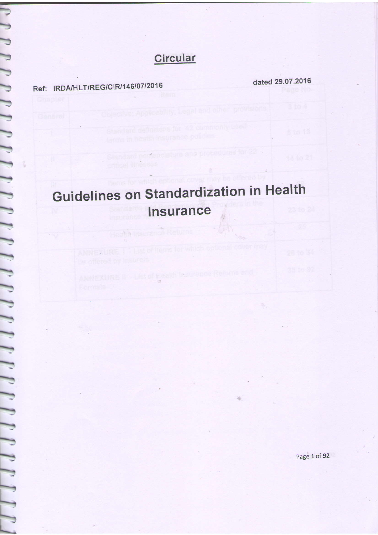## Circular

Ref: IRDA/HLT/REG/CIR/146/07/2016

dated 29.07.2016

26 to 34

## Guidelines on Standardization in Health Insurance

ANNEXURE II - List of ylealth feaurance Returns and

sant north

Hadilli Insuran

Page 1 of 92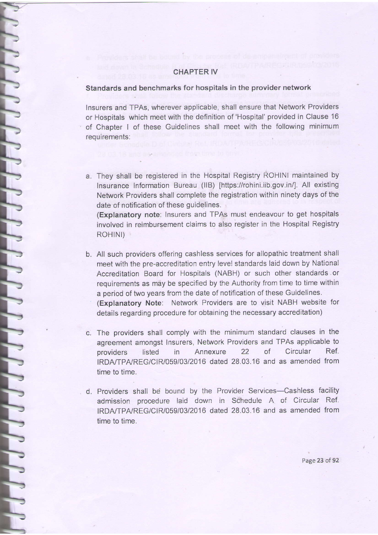## GHAPTER IV

## Standards and benchmarks for hospitals in the provider network

Insurers and TPAs, wherever applicable, shall ensure that Network Providers or Hospitals which meet with the definition of 'Hospital' provided in Clause 16 of Chapter I of these Guidelines shall meet with the following minimum reouirements:

a. They shall be registered in the Hospital Registry ROHINI maintained by Insurance Information Bureau (IIB) [https://rohini.iib.gov.in/]. All existing Network Providers shall complete the registration within ninety days of the date of notification of these guidelines.

(Explanatory note: Insurers and TPAs must endeavour io get hospitals involved in reimbursement claims to also register in the Hospital Registry ROHINI)

- b. All such providers offering cashless services for allopathic treatment shall meet with the pre-accreditation entry level standards laid down by National Accreditation Board for Hospitals (NABH) or such other standards or requirements as may be specified by the Authority from time to time within a period of two years from the date of notification of these Guidelines. (Explanatory Note: Network Providers are to visit NABH website for details regarding procedure for obtaining the necessary accreditation)
- c. The providers shall comply with the minimum standard clauses in the agreement amongst Insurers, Network Providers and TPAS applicable to providers listed in Annexure 22 of Circular Ref. IRDA/TPA/REG/CIR/059/03/2016 dated 28.03.16 and as amended from time to time.
- d. Providers shall be bound by the Provider Services-Cashless facility admission procedure laid down in Schedule A of Circular Ref. IRDA/TPA/REG/CIR/059/03/2016 dated 28.03.16 and as amended from time to time.